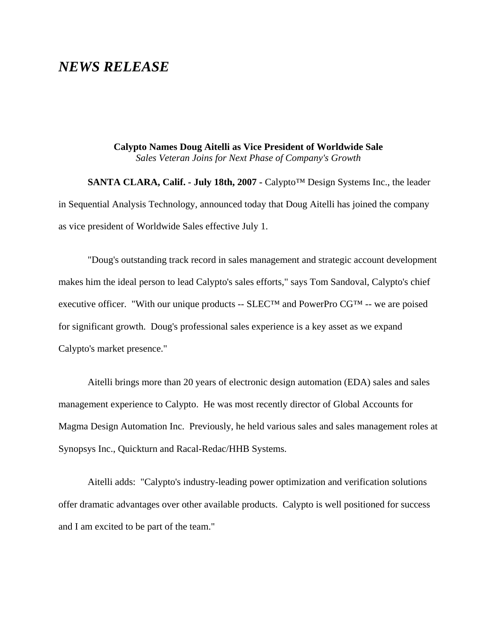## *NEWS RELEASE*

**Calypto Names Doug Aitelli as Vice President of Worldwide Sale** *Sales Veteran Joins for Next Phase of Company's Growth*

**SANTA CLARA, Calif. - July 18th, 2007 -** Calypto™ Design Systems Inc., the leader in Sequential Analysis Technology, announced today that Doug Aitelli has joined the company as vice president of Worldwide Sales effective July 1.

"Doug's outstanding track record in sales management and strategic account development makes him the ideal person to lead Calypto's sales efforts," says Tom Sandoval, Calypto's chief executive officer. "With our unique products --  $SLEC^{TM}$  and PowerPro  $CG^{TM}$  -- we are poised for significant growth. Doug's professional sales experience is a key asset as we expand Calypto's market presence."

Aitelli brings more than 20 years of electronic design automation (EDA) sales and sales management experience to Calypto. He was most recently director of Global Accounts for Magma Design Automation Inc. Previously, he held various sales and sales management roles at Synopsys Inc., Quickturn and Racal-Redac/HHB Systems.

Aitelli adds: "Calypto's industry-leading power optimization and verification solutions offer dramatic advantages over other available products. Calypto is well positioned for success and I am excited to be part of the team."